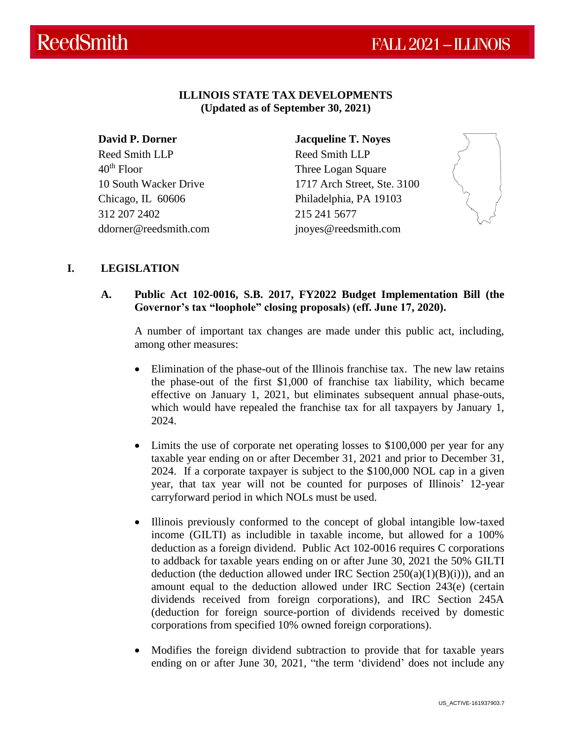## **ILLINOIS STATE TAX DEVELOPMENTS (Updated as of September 30, 2021)**

**David P. Dorner**  Reed Smith LLP  $40<sup>th</sup>$  Floor 10 South Wacker Drive Chicago, IL 60606 312 207 2402 ddorner@reedsmith.com

**Jacqueline T. Noyes** Reed Smith LLP Three Logan Square 1717 Arch Street, Ste. 3100 Philadelphia, PA 19103 215 241 5677 jnoyes@reedsmith.com



# **I. LEGISLATION**

## **A. Public Act 102-0016, S.B. 2017, FY2022 Budget Implementation Bill (the Governor's tax "loophole" closing proposals) (eff. June 17, 2020).**

A number of important tax changes are made under this public act, including, among other measures:

- Elimination of the phase-out of the Illinois franchise tax. The new law retains the phase-out of the first \$1,000 of franchise tax liability, which became effective on January 1, 2021, but eliminates subsequent annual phase-outs, which would have repealed the franchise tax for all taxpayers by January 1, 2024.
- Limits the use of corporate net operating losses to \$100,000 per year for any taxable year ending on or after December 31, 2021 and prior to December 31, 2024. If a corporate taxpayer is subject to the \$100,000 NOL cap in a given year, that tax year will not be counted for purposes of Illinois' 12-year carryforward period in which NOLs must be used.
- Illinois previously conformed to the concept of global intangible low-taxed income (GILTI) as includible in taxable income, but allowed for a 100% deduction as a foreign dividend. Public Act 102-0016 requires C corporations to addback for taxable years ending on or after June 30, 2021 the 50% GILTI deduction (the deduction allowed under IRC Section  $250(a)(1)(B)(i)$ ), and an amount equal to the deduction allowed under IRC Section 243(e) (certain dividends received from foreign corporations), and IRC Section 245A (deduction for foreign source-portion of dividends received by domestic corporations from specified 10% owned foreign corporations).
- Modifies the foreign dividend subtraction to provide that for taxable years ending on or after June 30, 2021, "the term 'dividend' does not include any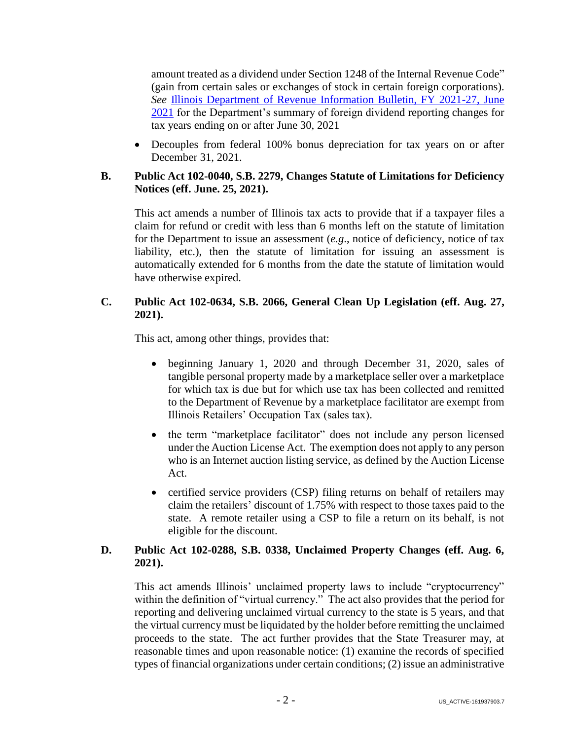amount treated as a dividend under Section 1248 of the Internal Revenue Code" (gain from certain sales or exchanges of stock in certain foreign corporations). *See* [Illinois Department of Revenue Information Bulletin, FY 2021-27, June](https://www2.illinois.gov/rev/research/news/pages/default.aspx)  [2021](https://www2.illinois.gov/rev/research/news/pages/default.aspx) for the Department's summary of foreign dividend reporting changes for tax years ending on or after June 30, 2021

 Decouples from federal 100% bonus depreciation for tax years on or after December 31, 2021.

## **B. Public Act 102-0040, S.B. 2279, Changes Statute of Limitations for Deficiency Notices (eff. June. 25, 2021).**

This act amends a number of Illinois tax acts to provide that if a taxpayer files a claim for refund or credit with less than 6 months left on the statute of limitation for the Department to issue an assessment (*e.g*., notice of deficiency, notice of tax liability, etc.), then the statute of limitation for issuing an assessment is automatically extended for 6 months from the date the statute of limitation would have otherwise expired.

## **C. Public Act 102-0634, S.B. 2066, General Clean Up Legislation (eff. Aug. 27, 2021).**

This act, among other things, provides that:

- beginning January 1, 2020 and through December 31, 2020, sales of tangible personal property made by a marketplace seller over a marketplace for which tax is due but for which use tax has been collected and remitted to the Department of Revenue by a marketplace facilitator are exempt from Illinois Retailers' Occupation Tax (sales tax).
- the term "marketplace facilitator" does not include any person licensed under the Auction License Act. The exemption does not apply to any person who is an Internet auction listing service, as defined by the Auction License Act.
- certified service providers (CSP) filing returns on behalf of retailers may claim the retailers' discount of 1.75% with respect to those taxes paid to the state. A remote retailer using a CSP to file a return on its behalf, is not eligible for the discount.

## **D. Public Act 102-0288, S.B. 0338, Unclaimed Property Changes (eff. Aug. 6, 2021).**

This act amends Illinois' unclaimed property laws to include "cryptocurrency" within the definition of "virtual currency." The act also provides that the period for reporting and delivering unclaimed virtual currency to the state is 5 years, and that the virtual currency must be liquidated by the holder before remitting the unclaimed proceeds to the state. The act further provides that the State Treasurer may, at reasonable times and upon reasonable notice: (1) examine the records of specified types of financial organizations under certain conditions; (2) issue an administrative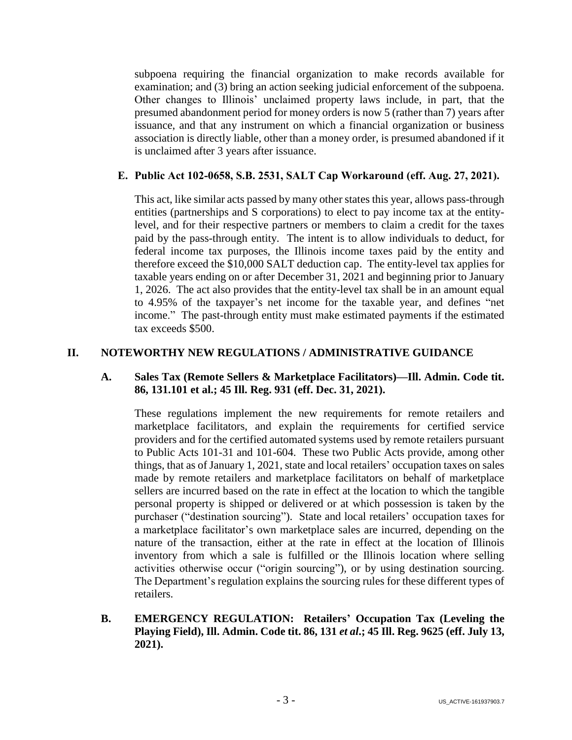subpoena requiring the financial organization to make records available for examination; and (3) bring an action seeking judicial enforcement of the subpoena. Other changes to Illinois' unclaimed property laws include, in part, that the presumed abandonment period for money orders is now 5 (rather than 7) years after issuance, and that any instrument on which a financial organization or business association is directly liable, other than a money order, is presumed abandoned if it is unclaimed after 3 years after issuance.

## **E. Public Act 102-0658, S.B. 2531, SALT Cap Workaround (eff. Aug. 27, 2021).**

This act, like similar acts passed by many other states this year, allows pass-through entities (partnerships and S corporations) to elect to pay income tax at the entitylevel, and for their respective partners or members to claim a credit for the taxes paid by the pass-through entity. The intent is to allow individuals to deduct, for federal income tax purposes, the Illinois income taxes paid by the entity and therefore exceed the \$10,000 SALT deduction cap. The entity-level tax applies for taxable years ending on or after December 31, 2021 and beginning prior to January 1, 2026. The act also provides that the entity-level tax shall be in an amount equal to 4.95% of the taxpayer's net income for the taxable year, and defines "net income." The past-through entity must make estimated payments if the estimated tax exceeds \$500.

## **II. NOTEWORTHY NEW REGULATIONS / ADMINISTRATIVE GUIDANCE**

## **A. Sales Tax (Remote Sellers & Marketplace Facilitators)—Ill. Admin. Code tit. 86, 131.101 et al.; 45 Ill. Reg. 931 (eff. Dec. 31, 2021).**

These regulations implement the new requirements for remote retailers and marketplace facilitators, and explain the requirements for certified service providers and for the certified automated systems used by remote retailers pursuant to Public Acts 101-31 and 101-604. These two Public Acts provide, among other things, that as of January 1, 2021, state and local retailers' occupation taxes on sales made by remote retailers and marketplace facilitators on behalf of marketplace sellers are incurred based on the rate in effect at the location to which the tangible personal property is shipped or delivered or at which possession is taken by the purchaser ("destination sourcing"). State and local retailers' occupation taxes for a marketplace facilitator's own marketplace sales are incurred, depending on the nature of the transaction, either at the rate in effect at the location of Illinois inventory from which a sale is fulfilled or the Illinois location where selling activities otherwise occur ("origin sourcing"), or by using destination sourcing. The Department's regulation explains the sourcing rules for these different types of retailers.

## **B. EMERGENCY REGULATION: Retailers' Occupation Tax (Leveling the Playing Field), Ill. Admin. Code tit. 86, 131** *et al***.; 45 Ill. Reg. 9625 (eff. July 13, 2021).**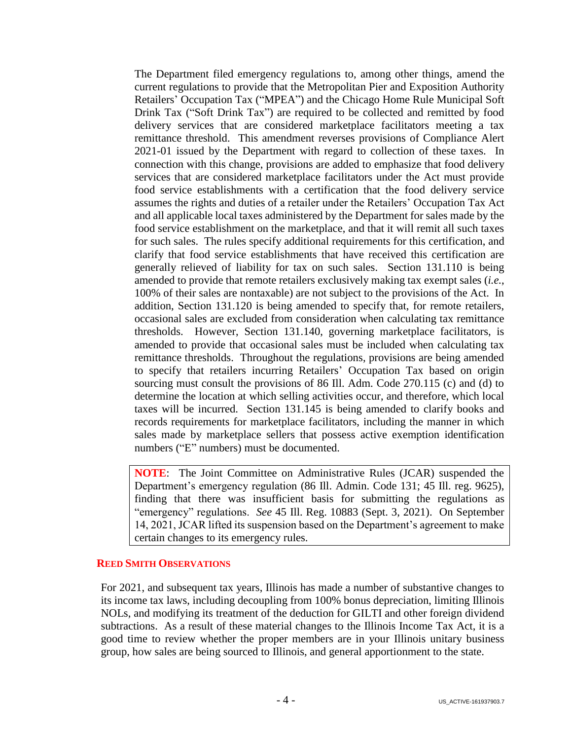The Department filed emergency regulations to, among other things, amend the current regulations to provide that the Metropolitan Pier and Exposition Authority Retailers' Occupation Tax ("MPEA") and the Chicago Home Rule Municipal Soft Drink Tax ("Soft Drink Tax") are required to be collected and remitted by food delivery services that are considered marketplace facilitators meeting a tax remittance threshold. This amendment reverses provisions of Compliance Alert 2021-01 issued by the Department with regard to collection of these taxes. In connection with this change, provisions are added to emphasize that food delivery services that are considered marketplace facilitators under the Act must provide food service establishments with a certification that the food delivery service assumes the rights and duties of a retailer under the Retailers' Occupation Tax Act and all applicable local taxes administered by the Department for sales made by the food service establishment on the marketplace, and that it will remit all such taxes for such sales. The rules specify additional requirements for this certification, and clarify that food service establishments that have received this certification are generally relieved of liability for tax on such sales. Section 131.110 is being amended to provide that remote retailers exclusively making tax exempt sales (*i.e.*, 100% of their sales are nontaxable) are not subject to the provisions of the Act. In addition, Section 131.120 is being amended to specify that, for remote retailers, occasional sales are excluded from consideration when calculating tax remittance thresholds. However, Section 131.140, governing marketplace facilitators, is amended to provide that occasional sales must be included when calculating tax remittance thresholds. Throughout the regulations, provisions are being amended to specify that retailers incurring Retailers' Occupation Tax based on origin sourcing must consult the provisions of 86 Ill. Adm. Code 270.115 (c) and (d) to determine the location at which selling activities occur, and therefore, which local taxes will be incurred. Section 131.145 is being amended to clarify books and records requirements for marketplace facilitators, including the manner in which sales made by marketplace sellers that possess active exemption identification numbers ("E" numbers) must be documented.

**NOTE**: The Joint Committee on Administrative Rules (JCAR) suspended the Department's emergency regulation (86 Ill. Admin. Code 131; 45 Ill. reg. 9625), finding that there was insufficient basis for submitting the regulations as "emergency" regulations. *See* 45 Ill. Reg. 10883 (Sept. 3, 2021). On September 14, 2021, JCAR lifted its suspension based on the Department's agreement to make certain changes to its emergency rules.

### **REED SMITH OBSERVATIONS**

For 2021, and subsequent tax years, Illinois has made a number of substantive changes to its income tax laws, including decoupling from 100% bonus depreciation, limiting Illinois NOLs, and modifying its treatment of the deduction for GILTI and other foreign dividend subtractions. As a result of these material changes to the Illinois Income Tax Act, it is a good time to review whether the proper members are in your Illinois unitary business group, how sales are being sourced to Illinois, and general apportionment to the state.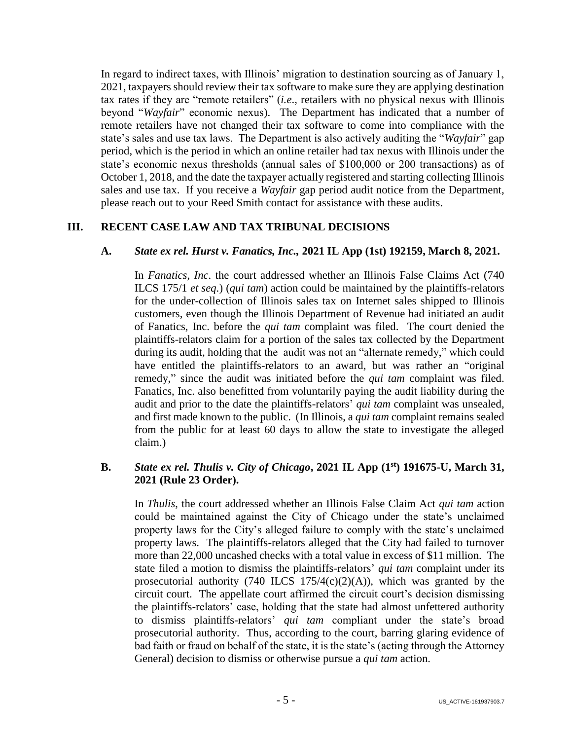In regard to indirect taxes, with Illinois' migration to destination sourcing as of January 1, 2021, taxpayers should review their tax software to make sure they are applying destination tax rates if they are "remote retailers" (*i.e*., retailers with no physical nexus with Illinois beyond "*Wayfair*" economic nexus). The Department has indicated that a number of remote retailers have not changed their tax software to come into compliance with the state's sales and use tax laws. The Department is also actively auditing the "*Wayfair*" gap period, which is the period in which an online retailer had tax nexus with Illinois under the state's economic nexus thresholds (annual sales of \$100,000 or 200 transactions) as of October 1, 2018, and the date the taxpayer actually registered and starting collecting Illinois sales and use tax. If you receive a *Wayfair* gap period audit notice from the Department, please reach out to your Reed Smith contact for assistance with these audits.

# **III. RECENT CASE LAW AND TAX TRIBUNAL DECISIONS**

# **A.** *State ex rel. Hurst v. Fanatics, Inc.,* **2021 IL App (1st) 192159, March 8, 2021.**

In *Fanatics, Inc*. the court addressed whether an Illinois False Claims Act (740 ILCS 175/1 *et seq*.) (*qui tam*) action could be maintained by the plaintiffs-relators for the under-collection of Illinois sales tax on Internet sales shipped to Illinois customers, even though the Illinois Department of Revenue had initiated an audit of Fanatics, Inc. before the *qui tam* complaint was filed. The court denied the plaintiffs-relators claim for a portion of the sales tax collected by the Department during its audit, holding that the audit was not an "alternate remedy," which could have entitled the plaintiffs-relators to an award, but was rather an "original remedy," since the audit was initiated before the *qui tam* complaint was filed. Fanatics, Inc. also benefitted from voluntarily paying the audit liability during the audit and prior to the date the plaintiffs-relators' *qui tam* complaint was unsealed, and first made known to the public. (In Illinois, a *qui tam* complaint remains sealed from the public for at least 60 days to allow the state to investigate the alleged claim.)

## **B.** *State ex rel. Thulis v. City of Chicago***, 2021 IL App (1st) 191675-U, March 31, 2021 (Rule 23 Order).**

In *Thulis*, the court addressed whether an Illinois False Claim Act *qui tam* action could be maintained against the City of Chicago under the state's unclaimed property laws for the City's alleged failure to comply with the state's unclaimed property laws. The plaintiffs-relators alleged that the City had failed to turnover more than 22,000 uncashed checks with a total value in excess of \$11 million. The state filed a motion to dismiss the plaintiffs-relators' *qui tam* complaint under its prosecutorial authority (740 ILCS  $175/4(c)(2)(A)$ ), which was granted by the circuit court. The appellate court affirmed the circuit court's decision dismissing the plaintiffs-relators' case, holding that the state had almost unfettered authority to dismiss plaintiffs-relators' *qui tam* compliant under the state's broad prosecutorial authority. Thus, according to the court, barring glaring evidence of bad faith or fraud on behalf of the state, it is the state's (acting through the Attorney General) decision to dismiss or otherwise pursue a *qui tam* action.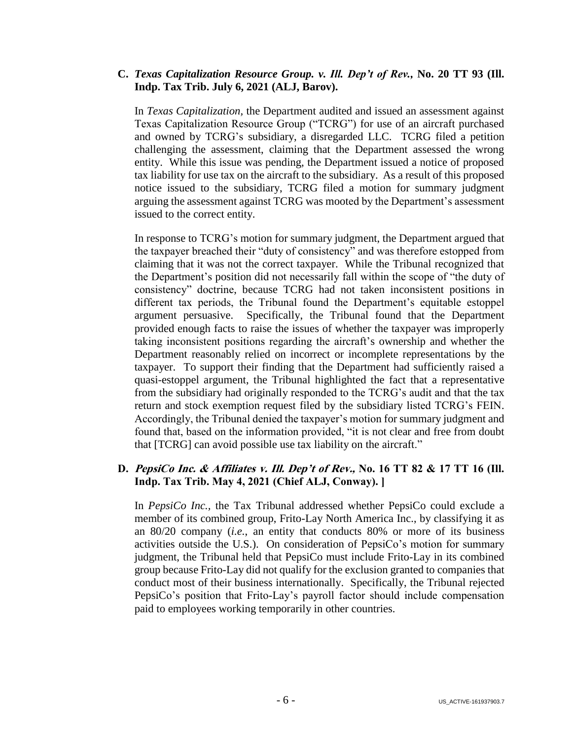## **C.** *Texas Capitalization Resource Group. v. Ill. Dep't of Rev.,* **No. 20 TT 93 (Ill. Indp. Tax Trib. July 6, 2021 (ALJ, Barov).**

In *Texas Capitalization,* the Department audited and issued an assessment against Texas Capitalization Resource Group ("TCRG") for use of an aircraft purchased and owned by TCRG's subsidiary, a disregarded LLC. TCRG filed a petition challenging the assessment, claiming that the Department assessed the wrong entity. While this issue was pending, the Department issued a notice of proposed tax liability for use tax on the aircraft to the subsidiary. As a result of this proposed notice issued to the subsidiary, TCRG filed a motion for summary judgment arguing the assessment against TCRG was mooted by the Department's assessment issued to the correct entity.

In response to TCRG's motion for summary judgment, the Department argued that the taxpayer breached their "duty of consistency" and was therefore estopped from claiming that it was not the correct taxpayer. While the Tribunal recognized that the Department's position did not necessarily fall within the scope of "the duty of consistency" doctrine, because TCRG had not taken inconsistent positions in different tax periods, the Tribunal found the Department's equitable estoppel argument persuasive. Specifically, the Tribunal found that the Department provided enough facts to raise the issues of whether the taxpayer was improperly taking inconsistent positions regarding the aircraft's ownership and whether the Department reasonably relied on incorrect or incomplete representations by the taxpayer. To support their finding that the Department had sufficiently raised a quasi-estoppel argument, the Tribunal highlighted the fact that a representative from the subsidiary had originally responded to the TCRG's audit and that the tax return and stock exemption request filed by the subsidiary listed TCRG's FEIN. Accordingly, the Tribunal denied the taxpayer's motion for summary judgment and found that, based on the information provided, "it is not clear and free from doubt that [TCRG] can avoid possible use tax liability on the aircraft."

# **D. PepsiCo Inc. & Affiliates v. Ill. Dep't of Rev., No. 16 TT 82 & 17 TT 16 (Ill. Indp. Tax Trib. May 4, 2021 (Chief ALJ, Conway). ]**

In *PepsiCo Inc.,* the Tax Tribunal addressed whether PepsiCo could exclude a member of its combined group, Frito-Lay North America Inc., by classifying it as an 80/20 company (*i.e.*, an entity that conducts 80% or more of its business activities outside the U.S.). On consideration of PepsiCo's motion for summary judgment, the Tribunal held that PepsiCo must include Frito-Lay in its combined group because Frito-Lay did not qualify for the exclusion granted to companies that conduct most of their business internationally. Specifically, the Tribunal rejected PepsiCo's position that Frito-Lay's payroll factor should include compensation paid to employees working temporarily in other countries.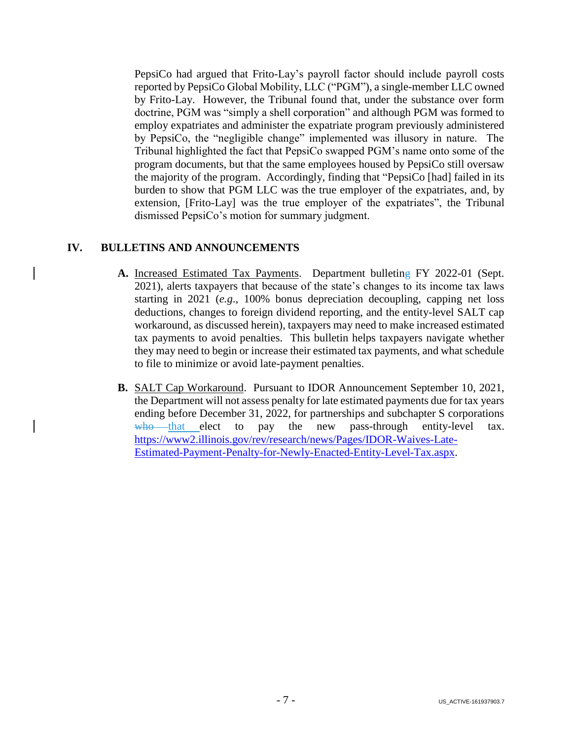PepsiCo had argued that Frito-Lay's payroll factor should include payroll costs reported by PepsiCo Global Mobility, LLC ("PGM"), a single-member LLC owned by Frito-Lay. However, the Tribunal found that, under the substance over form doctrine, PGM was "simply a shell corporation" and although PGM was formed to employ expatriates and administer the expatriate program previously administered by PepsiCo, the "negligible change" implemented was illusory in nature. The Tribunal highlighted the fact that PepsiCo swapped PGM's name onto some of the program documents, but that the same employees housed by PepsiCo still oversaw the majority of the program. Accordingly, finding that "PepsiCo [had] failed in its burden to show that PGM LLC was the true employer of the expatriates, and, by extension, [Frito-Lay] was the true employer of the expatriates", the Tribunal dismissed PepsiCo's motion for summary judgment.

# **IV. BULLETINS AND ANNOUNCEMENTS**

- **A.** Increased Estimated Tax Payments. Department bulleting FY 2022-01 (Sept. 2021), alerts taxpayers that because of the state's changes to its income tax laws starting in 2021 (*e.g*., 100% bonus depreciation decoupling, capping net loss deductions, changes to foreign dividend reporting, and the entity-level SALT cap workaround, as discussed herein), taxpayers may need to make increased estimated tax payments to avoid penalties. This bulletin helps taxpayers navigate whether they may need to begin or increase their estimated tax payments, and what schedule to file to minimize or avoid late-payment penalties.
- **B.** SALT Cap Workaround. Pursuant to IDOR Announcement September 10, 2021, the Department will not assess penalty for late estimated payments due for tax years ending before December 31, 2022, for partnerships and subchapter S corporations  $w$ ho that elect to pay the new pass-through entity-level tax. [https://www2.illinois.gov/rev/research/news/Pages/IDOR-Waives-Late-](https://www2.illinois.gov/rev/research/news/Pages/IDOR-Waives-Late-Estimated-Payment-Penalty-for-Newly-Enacted-Entity-Level-Tax.aspx)[Estimated-Payment-Penalty-for-Newly-Enacted-Entity-Level-Tax.aspx.](https://www2.illinois.gov/rev/research/news/Pages/IDOR-Waives-Late-Estimated-Payment-Penalty-for-Newly-Enacted-Entity-Level-Tax.aspx)